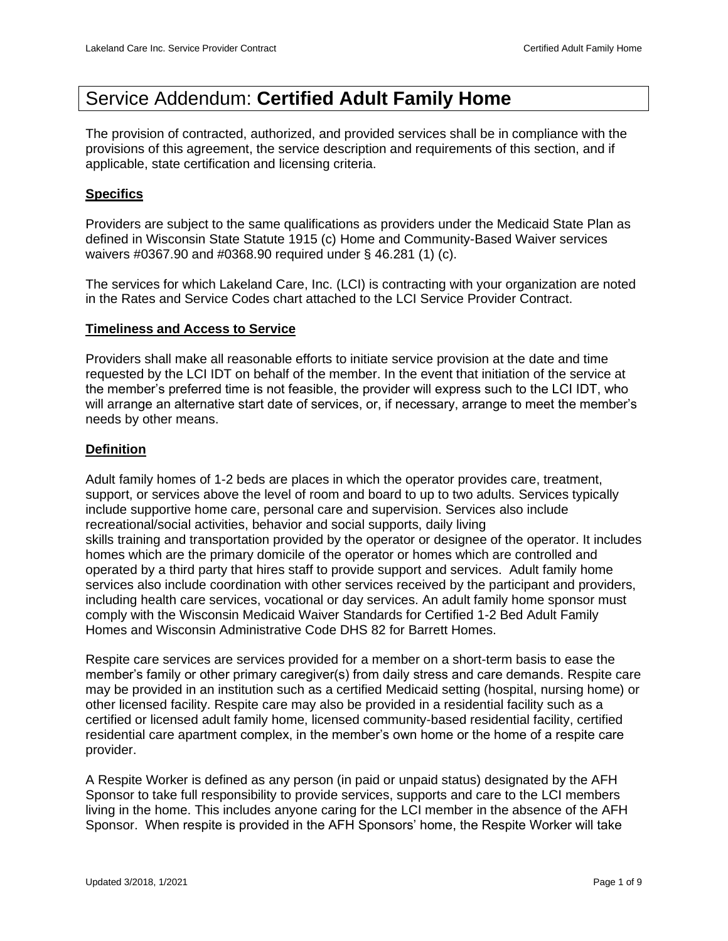# Service Addendum: **Certified Adult Family Home**

The provision of contracted, authorized, and provided services shall be in compliance with the provisions of this agreement, the service description and requirements of this section, and if applicable, state certification and licensing criteria.

#### **Specifics**

Providers are subject to the same qualifications as providers under the Medicaid State Plan as defined in Wisconsin State Statute 1915 (c) Home and Community-Based Waiver services waivers #0367.90 and #0368.90 required under § 46.281 (1) (c).

The services for which Lakeland Care, Inc. (LCI) is contracting with your organization are noted in the Rates and Service Codes chart attached to the LCI Service Provider Contract.

#### **Timeliness and Access to Service**

Providers shall make all reasonable efforts to initiate service provision at the date and time requested by the LCI IDT on behalf of the member. In the event that initiation of the service at the member's preferred time is not feasible, the provider will express such to the LCI IDT, who will arrange an alternative start date of services, or, if necessary, arrange to meet the member's needs by other means.

#### **Definition**

Adult family homes of 1-2 beds are places in which the operator provides care, treatment, support, or services above the level of room and board to up to two adults. Services typically include supportive home care, personal care and supervision. Services also include recreational/social activities, behavior and social supports, daily living skills training and transportation provided by the operator or designee of the operator. It includes homes which are the primary domicile of the operator or homes which are controlled and operated by a third party that hires staff to provide support and services. Adult family home services also include coordination with other services received by the participant and providers, including health care services, vocational or day services. An adult family home sponsor must comply with the Wisconsin Medicaid Waiver Standards for Certified 1-2 Bed Adult Family Homes and Wisconsin Administrative Code DHS 82 for Barrett Homes.

Respite care services are services provided for a member on a short-term basis to ease the member's family or other primary caregiver(s) from daily stress and care demands. Respite care may be provided in an institution such as a certified Medicaid setting (hospital, nursing home) or other licensed facility. Respite care may also be provided in a residential facility such as a certified or licensed adult family home, licensed community-based residential facility, certified residential care apartment complex, in the member's own home or the home of a respite care provider.

A Respite Worker is defined as any person (in paid or unpaid status) designated by the AFH Sponsor to take full responsibility to provide services, supports and care to the LCI members living in the home. This includes anyone caring for the LCI member in the absence of the AFH Sponsor. When respite is provided in the AFH Sponsors' home, the Respite Worker will take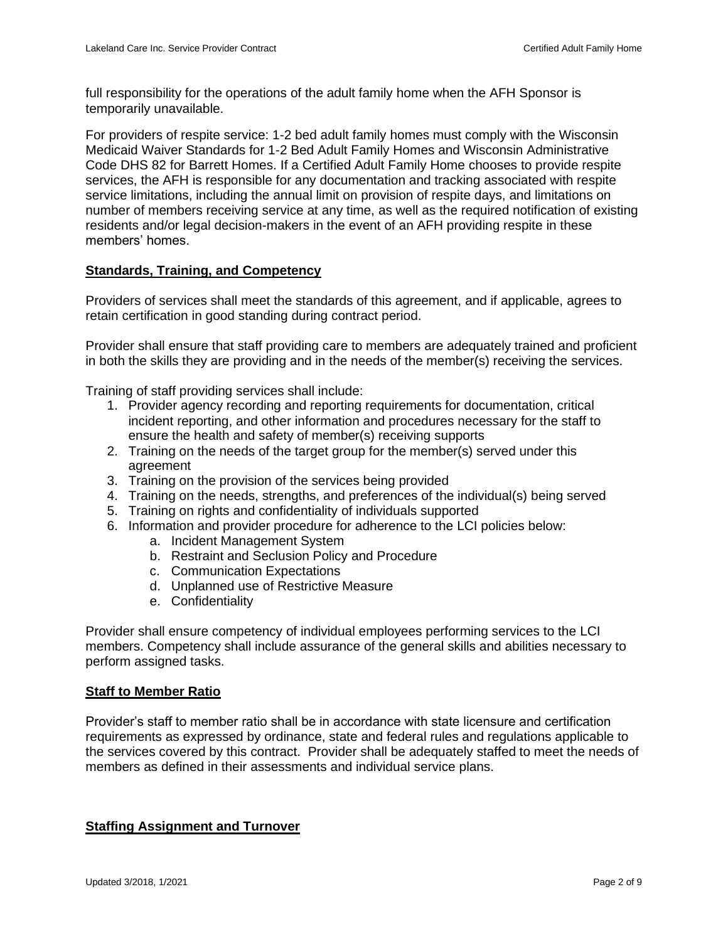full responsibility for the operations of the adult family home when the AFH Sponsor is temporarily unavailable.

For providers of respite service: 1-2 bed adult family homes must comply with the Wisconsin Medicaid Waiver Standards for 1-2 Bed Adult Family Homes and Wisconsin Administrative Code DHS 82 for Barrett Homes. If a Certified Adult Family Home chooses to provide respite services, the AFH is responsible for any documentation and tracking associated with respite service limitations, including the annual limit on provision of respite days, and limitations on number of members receiving service at any time, as well as the required notification of existing residents and/or legal decision-makers in the event of an AFH providing respite in these members' homes.

# **Standards, Training, and Competency**

Providers of services shall meet the standards of this agreement, and if applicable, agrees to retain certification in good standing during contract period.

Provider shall ensure that staff providing care to members are adequately trained and proficient in both the skills they are providing and in the needs of the member(s) receiving the services.

Training of staff providing services shall include:

- 1. Provider agency recording and reporting requirements for documentation, critical incident reporting, and other information and procedures necessary for the staff to ensure the health and safety of member(s) receiving supports
- 2. Training on the needs of the target group for the member(s) served under this agreement
- 3. Training on the provision of the services being provided
- 4. Training on the needs, strengths, and preferences of the individual(s) being served
- 5. Training on rights and confidentiality of individuals supported
- 6. Information and provider procedure for adherence to the LCI policies below:
	- a. Incident Management System
	- b. Restraint and Seclusion Policy and Procedure
	- c. Communication Expectations
	- d. Unplanned use of Restrictive Measure
	- e. Confidentiality

Provider shall ensure competency of individual employees performing services to the LCI members. Competency shall include assurance of the general skills and abilities necessary to perform assigned tasks.

#### **Staff to Member Ratio**

Provider's staff to member ratio shall be in accordance with state licensure and certification requirements as expressed by ordinance, state and federal rules and regulations applicable to the services covered by this contract. Provider shall be adequately staffed to meet the needs of members as defined in their assessments and individual service plans.

# **Staffing Assignment and Turnover**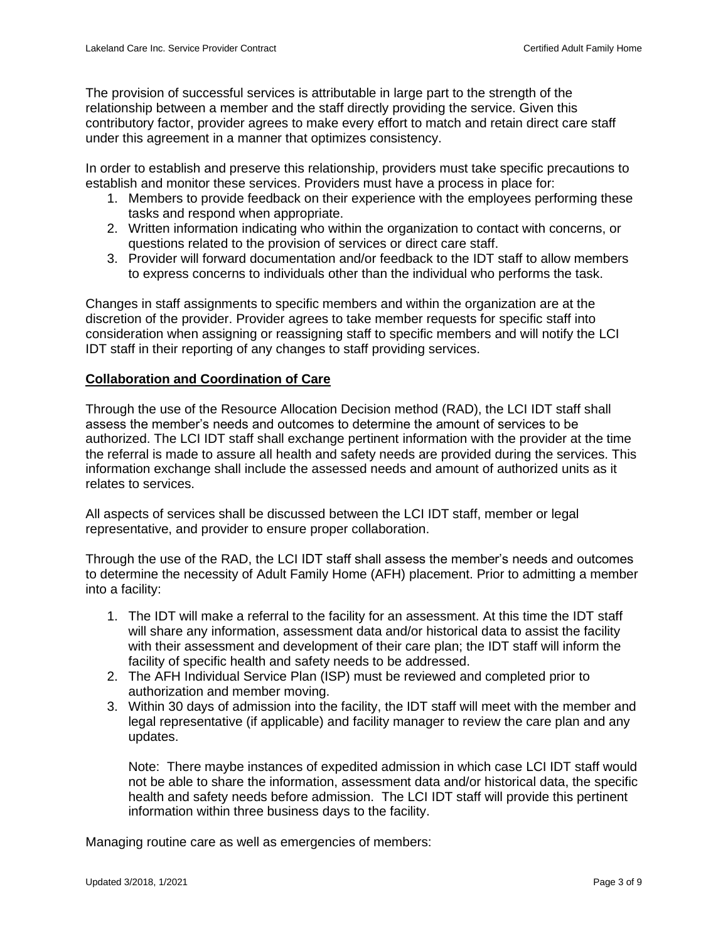The provision of successful services is attributable in large part to the strength of the relationship between a member and the staff directly providing the service. Given this contributory factor, provider agrees to make every effort to match and retain direct care staff under this agreement in a manner that optimizes consistency.

In order to establish and preserve this relationship, providers must take specific precautions to establish and monitor these services. Providers must have a process in place for:

- 1. Members to provide feedback on their experience with the employees performing these tasks and respond when appropriate.
- 2. Written information indicating who within the organization to contact with concerns, or questions related to the provision of services or direct care staff.
- 3. Provider will forward documentation and/or feedback to the IDT staff to allow members to express concerns to individuals other than the individual who performs the task.

Changes in staff assignments to specific members and within the organization are at the discretion of the provider. Provider agrees to take member requests for specific staff into consideration when assigning or reassigning staff to specific members and will notify the LCI IDT staff in their reporting of any changes to staff providing services.

#### **Collaboration and Coordination of Care**

Through the use of the Resource Allocation Decision method (RAD), the LCI IDT staff shall assess the member's needs and outcomes to determine the amount of services to be authorized. The LCI IDT staff shall exchange pertinent information with the provider at the time the referral is made to assure all health and safety needs are provided during the services. This information exchange shall include the assessed needs and amount of authorized units as it relates to services.

All aspects of services shall be discussed between the LCI IDT staff, member or legal representative, and provider to ensure proper collaboration.

Through the use of the RAD, the LCI IDT staff shall assess the member's needs and outcomes to determine the necessity of Adult Family Home (AFH) placement. Prior to admitting a member into a facility:

- 1. The IDT will make a referral to the facility for an assessment. At this time the IDT staff will share any information, assessment data and/or historical data to assist the facility with their assessment and development of their care plan; the IDT staff will inform the facility of specific health and safety needs to be addressed.
- 2. The AFH Individual Service Plan (ISP) must be reviewed and completed prior to authorization and member moving.
- 3. Within 30 days of admission into the facility, the IDT staff will meet with the member and legal representative (if applicable) and facility manager to review the care plan and any updates.

Note: There maybe instances of expedited admission in which case LCI IDT staff would not be able to share the information, assessment data and/or historical data, the specific health and safety needs before admission. The LCI IDT staff will provide this pertinent information within three business days to the facility.

Managing routine care as well as emergencies of members: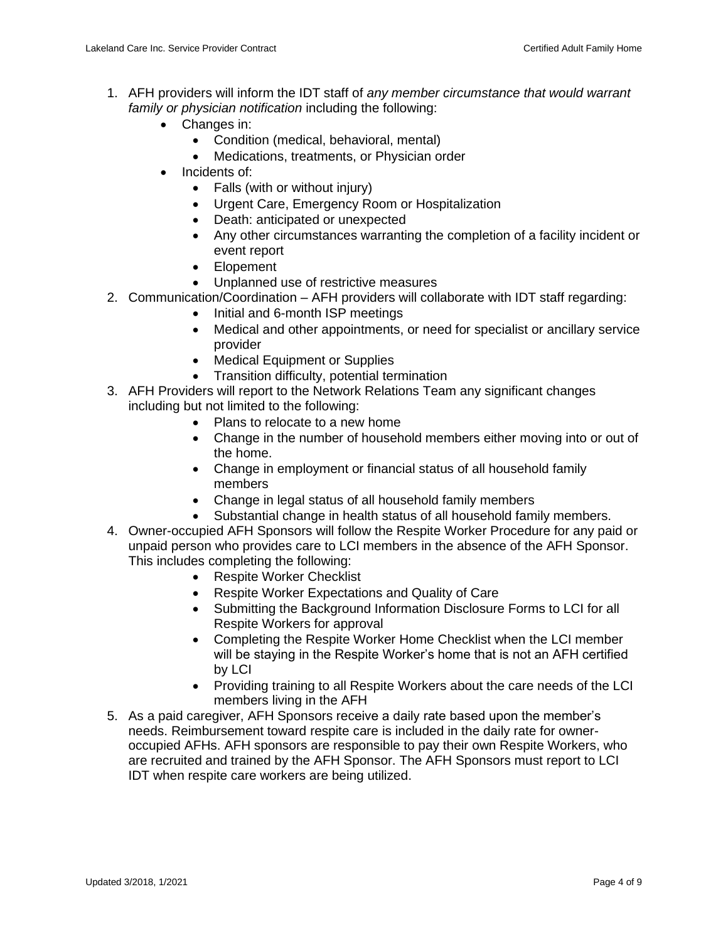- 1. AFH providers will inform the IDT staff of *any member circumstance that would warrant family or physician notification* including the following:
	- Changes in:
		- Condition (medical, behavioral, mental)
		- Medications, treatments, or Physician order
	- Incidents of:
		- Falls (with or without injury)
		- Urgent Care, Emergency Room or Hospitalization
		- Death: anticipated or unexpected
		- Any other circumstances warranting the completion of a facility incident or event report
		- Elopement
		- Unplanned use of restrictive measures
- 2. Communication/Coordination AFH providers will collaborate with IDT staff regarding:
	- Initial and 6-month ISP meetings
	- Medical and other appointments, or need for specialist or ancillary service provider
	- Medical Equipment or Supplies
	- Transition difficulty, potential termination
- 3. AFH Providers will report to the Network Relations Team any significant changes including but not limited to the following:
	- Plans to relocate to a new home
	- Change in the number of household members either moving into or out of the home.
	- Change in employment or financial status of all household family members
	- Change in legal status of all household family members
	- Substantial change in health status of all household family members.
- 4. Owner-occupied AFH Sponsors will follow the Respite Worker Procedure for any paid or unpaid person who provides care to LCI members in the absence of the AFH Sponsor. This includes completing the following:
	- Respite Worker Checklist
	- Respite Worker Expectations and Quality of Care
	- Submitting the Background Information Disclosure Forms to LCI for all Respite Workers for approval
	- Completing the Respite Worker Home Checklist when the LCI member will be staying in the Respite Worker's home that is not an AFH certified by LCI
	- Providing training to all Respite Workers about the care needs of the LCI members living in the AFH
- 5. As a paid caregiver, AFH Sponsors receive a daily rate based upon the member's needs. Reimbursement toward respite care is included in the daily rate for owneroccupied AFHs. AFH sponsors are responsible to pay their own Respite Workers, who are recruited and trained by the AFH Sponsor. The AFH Sponsors must report to LCI IDT when respite care workers are being utilized.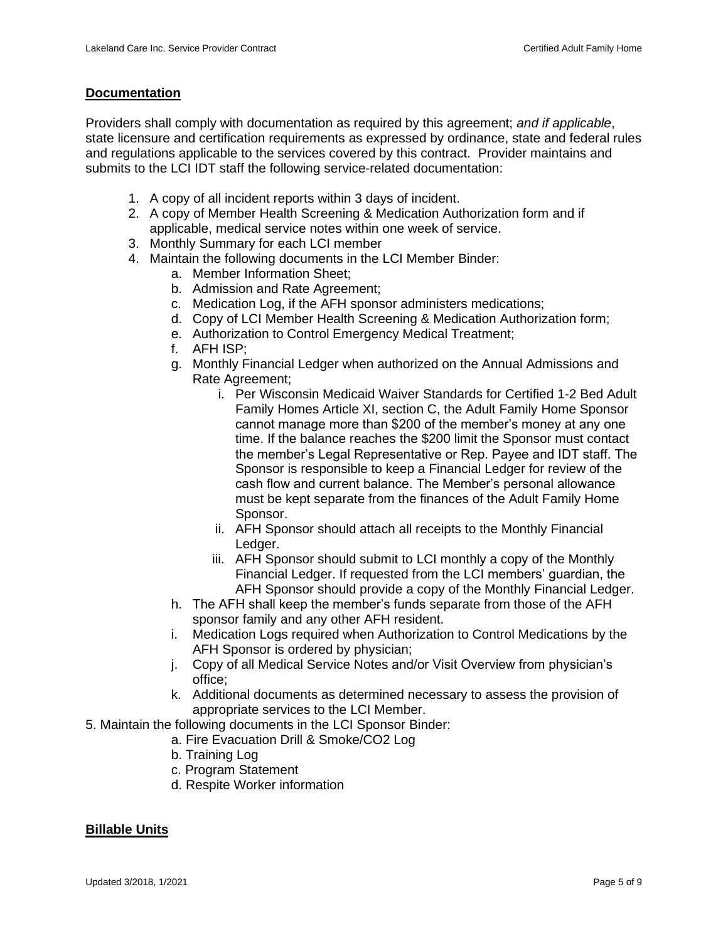#### **Documentation**

Providers shall comply with documentation as required by this agreement; *and if applicable*, state licensure and certification requirements as expressed by ordinance, state and federal rules and regulations applicable to the services covered by this contract. Provider maintains and submits to the LCI IDT staff the following service-related documentation:

- 1. A copy of all incident reports within 3 days of incident.
- 2. A copy of Member Health Screening & Medication Authorization form and if applicable, medical service notes within one week of service.
- 3. Monthly Summary for each LCI member
- 4. Maintain the following documents in the LCI Member Binder:
	- a. Member Information Sheet;
	- b. Admission and Rate Agreement;
	- c. Medication Log, if the AFH sponsor administers medications;
	- d. Copy of LCI Member Health Screening & Medication Authorization form;
	- e. Authorization to Control Emergency Medical Treatment;
	- f. AFH ISP;
	- g. Monthly Financial Ledger when authorized on the Annual Admissions and Rate Agreement;
		- i. Per Wisconsin Medicaid Waiver Standards for Certified 1-2 Bed Adult Family Homes Article XI, section C, the Adult Family Home Sponsor cannot manage more than \$200 of the member's money at any one time. If the balance reaches the \$200 limit the Sponsor must contact the member's Legal Representative or Rep. Payee and IDT staff. The Sponsor is responsible to keep a Financial Ledger for review of the cash flow and current balance. The Member's personal allowance must be kept separate from the finances of the Adult Family Home Sponsor.
		- ii. AFH Sponsor should attach all receipts to the Monthly Financial Ledger.
		- iii. AFH Sponsor should submit to LCI monthly a copy of the Monthly Financial Ledger. If requested from the LCI members' guardian, the AFH Sponsor should provide a copy of the Monthly Financial Ledger.
	- h. The AFH shall keep the member's funds separate from those of the AFH sponsor family and any other AFH resident.
	- i. Medication Logs required when Authorization to Control Medications by the AFH Sponsor is ordered by physician;
	- j. Copy of all Medical Service Notes and/or Visit Overview from physician's office;
	- k. Additional documents as determined necessary to assess the provision of appropriate services to the LCI Member.
- 5. Maintain the following documents in the LCI Sponsor Binder:
	- a. Fire Evacuation Drill & Smoke/CO2 Log
		- b. Training Log
		- c. Program Statement
		- d. Respite Worker information

# **Billable Units**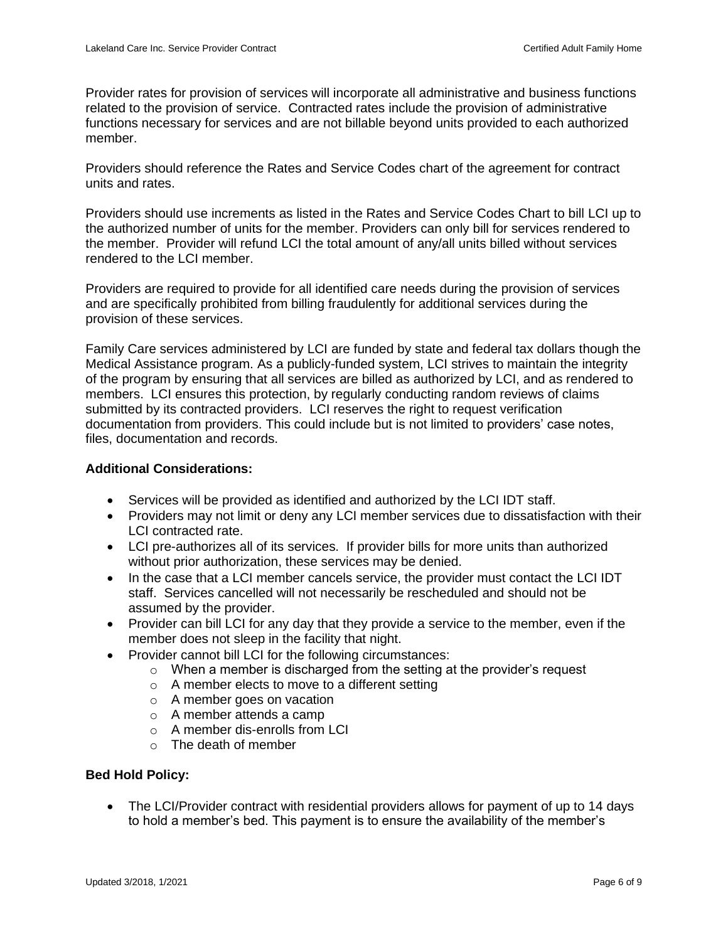Provider rates for provision of services will incorporate all administrative and business functions related to the provision of service. Contracted rates include the provision of administrative functions necessary for services and are not billable beyond units provided to each authorized member.

Providers should reference the Rates and Service Codes chart of the agreement for contract units and rates.

Providers should use increments as listed in the Rates and Service Codes Chart to bill LCI up to the authorized number of units for the member. Providers can only bill for services rendered to the member. Provider will refund LCI the total amount of any/all units billed without services rendered to the LCI member.

Providers are required to provide for all identified care needs during the provision of services and are specifically prohibited from billing fraudulently for additional services during the provision of these services.

Family Care services administered by LCI are funded by state and federal tax dollars though the Medical Assistance program. As a publicly-funded system, LCI strives to maintain the integrity of the program by ensuring that all services are billed as authorized by LCI, and as rendered to members. LCI ensures this protection, by regularly conducting random reviews of claims submitted by its contracted providers. LCI reserves the right to request verification documentation from providers. This could include but is not limited to providers' case notes, files, documentation and records.

#### **Additional Considerations:**

- Services will be provided as identified and authorized by the LCI IDT staff.
- Providers may not limit or deny any LCI member services due to dissatisfaction with their LCI contracted rate.
- LCI pre-authorizes all of its services. If provider bills for more units than authorized without prior authorization, these services may be denied.
- In the case that a LCI member cancels service, the provider must contact the LCI IDT staff. Services cancelled will not necessarily be rescheduled and should not be assumed by the provider.
- Provider can bill LCI for any day that they provide a service to the member, even if the member does not sleep in the facility that night.
- Provider cannot bill LCI for the following circumstances:
	- $\circ$  When a member is discharged from the setting at the provider's request
	- o A member elects to move to a different setting
	- o A member goes on vacation
	- o A member attends a camp
	- o A member dis-enrolls from LCI
	- $\circ$  The death of member

#### **Bed Hold Policy:**

• The LCI/Provider contract with residential providers allows for payment of up to 14 days to hold a member's bed. This payment is to ensure the availability of the member's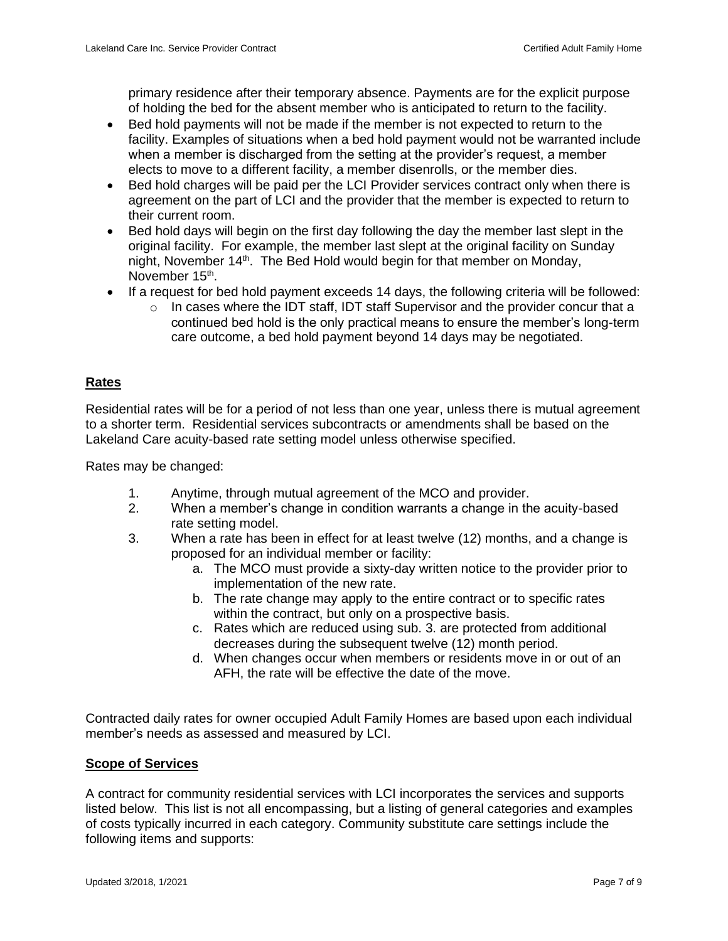primary residence after their temporary absence. Payments are for the explicit purpose of holding the bed for the absent member who is anticipated to return to the facility.

- Bed hold payments will not be made if the member is not expected to return to the facility. Examples of situations when a bed hold payment would not be warranted include when a member is discharged from the setting at the provider's request, a member elects to move to a different facility, a member disenrolls, or the member dies.
- Bed hold charges will be paid per the LCI Provider services contract only when there is agreement on the part of LCI and the provider that the member is expected to return to their current room.
- Bed hold days will begin on the first day following the day the member last slept in the original facility. For example, the member last slept at the original facility on Sunday night, November 14<sup>th</sup>. The Bed Hold would begin for that member on Monday, November 15<sup>th</sup>.
- If a request for bed hold payment exceeds 14 days, the following criteria will be followed:
	- $\circ$  In cases where the IDT staff, IDT staff Supervisor and the provider concur that a continued bed hold is the only practical means to ensure the member's long-term care outcome, a bed hold payment beyond 14 days may be negotiated.

# **Rates**

Residential rates will be for a period of not less than one year, unless there is mutual agreement to a shorter term. Residential services subcontracts or amendments shall be based on the Lakeland Care acuity-based rate setting model unless otherwise specified.

Rates may be changed:

- 1. Anytime, through mutual agreement of the MCO and provider.
- 2. When a member's change in condition warrants a change in the acuity-based rate setting model.
- 3. When a rate has been in effect for at least twelve (12) months, and a change is proposed for an individual member or facility:
	- a. The MCO must provide a sixty-day written notice to the provider prior to implementation of the new rate.
	- b. The rate change may apply to the entire contract or to specific rates within the contract, but only on a prospective basis.
	- c. Rates which are reduced using sub. 3. are protected from additional decreases during the subsequent twelve (12) month period.
	- d. When changes occur when members or residents move in or out of an AFH, the rate will be effective the date of the move.

Contracted daily rates for owner occupied Adult Family Homes are based upon each individual member's needs as assessed and measured by LCI.

# **Scope of Services**

A contract for community residential services with LCI incorporates the services and supports listed below. This list is not all encompassing, but a listing of general categories and examples of costs typically incurred in each category. Community substitute care settings include the following items and supports: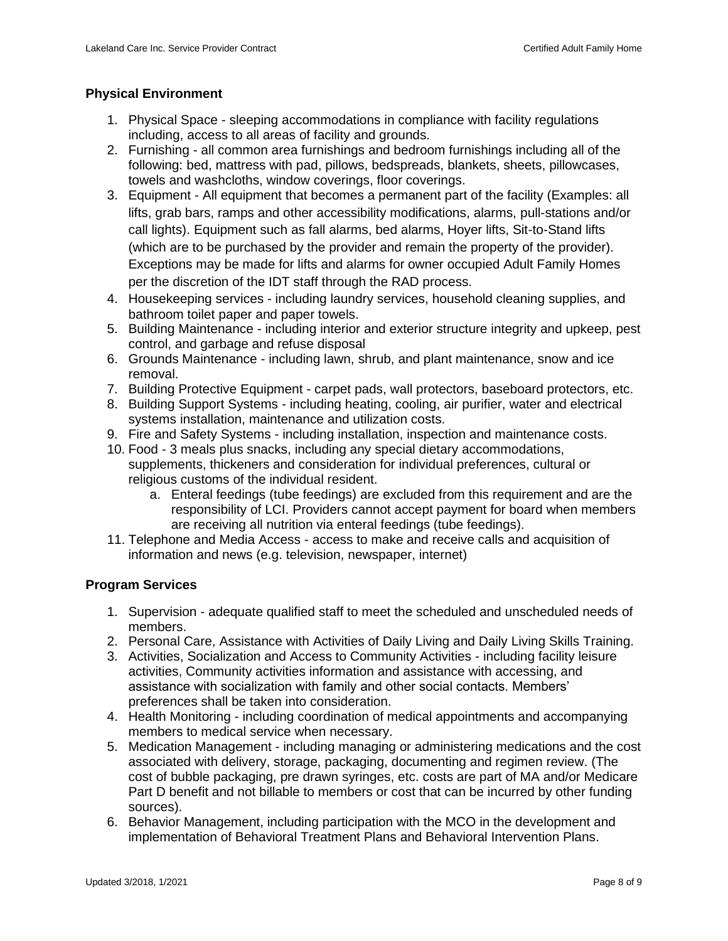# **Physical Environment**

- 1. Physical Space sleeping accommodations in compliance with facility regulations including, access to all areas of facility and grounds.
- 2. Furnishing all common area furnishings and bedroom furnishings including all of the following: bed, mattress with pad, pillows, bedspreads, blankets, sheets, pillowcases, towels and washcloths, window coverings, floor coverings.
- 3. Equipment All equipment that becomes a permanent part of the facility (Examples: all lifts, grab bars, ramps and other accessibility modifications, alarms, pull-stations and/or call lights). Equipment such as fall alarms, bed alarms, Hoyer lifts, Sit-to-Stand lifts (which are to be purchased by the provider and remain the property of the provider). Exceptions may be made for lifts and alarms for owner occupied Adult Family Homes per the discretion of the IDT staff through the RAD process.
- 4. Housekeeping services including laundry services, household cleaning supplies, and bathroom toilet paper and paper towels.
- 5. Building Maintenance including interior and exterior structure integrity and upkeep, pest control, and garbage and refuse disposal
- 6. Grounds Maintenance including lawn, shrub, and plant maintenance, snow and ice removal.
- 7. Building Protective Equipment carpet pads, wall protectors, baseboard protectors, etc.
- 8. Building Support Systems including heating, cooling, air purifier, water and electrical systems installation, maintenance and utilization costs.
- 9. Fire and Safety Systems including installation, inspection and maintenance costs.
- 10. Food 3 meals plus snacks, including any special dietary accommodations, supplements, thickeners and consideration for individual preferences, cultural or religious customs of the individual resident.
	- a. Enteral feedings (tube feedings) are excluded from this requirement and are the responsibility of LCI. Providers cannot accept payment for board when members are receiving all nutrition via enteral feedings (tube feedings).
- 11. Telephone and Media Access access to make and receive calls and acquisition of information and news (e.g. television, newspaper, internet)

# **Program Services**

- 1. Supervision adequate qualified staff to meet the scheduled and unscheduled needs of members.
- 2. Personal Care, Assistance with Activities of Daily Living and Daily Living Skills Training.
- 3. Activities, Socialization and Access to Community Activities including facility leisure activities, Community activities information and assistance with accessing, and assistance with socialization with family and other social contacts. Members' preferences shall be taken into consideration.
- 4. Health Monitoring including coordination of medical appointments and accompanying members to medical service when necessary.
- 5. Medication Management including managing or administering medications and the cost associated with delivery, storage, packaging, documenting and regimen review. (The cost of bubble packaging, pre drawn syringes, etc. costs are part of MA and/or Medicare Part D benefit and not billable to members or cost that can be incurred by other funding sources).
- 6. Behavior Management, including participation with the MCO in the development and implementation of Behavioral Treatment Plans and Behavioral Intervention Plans.